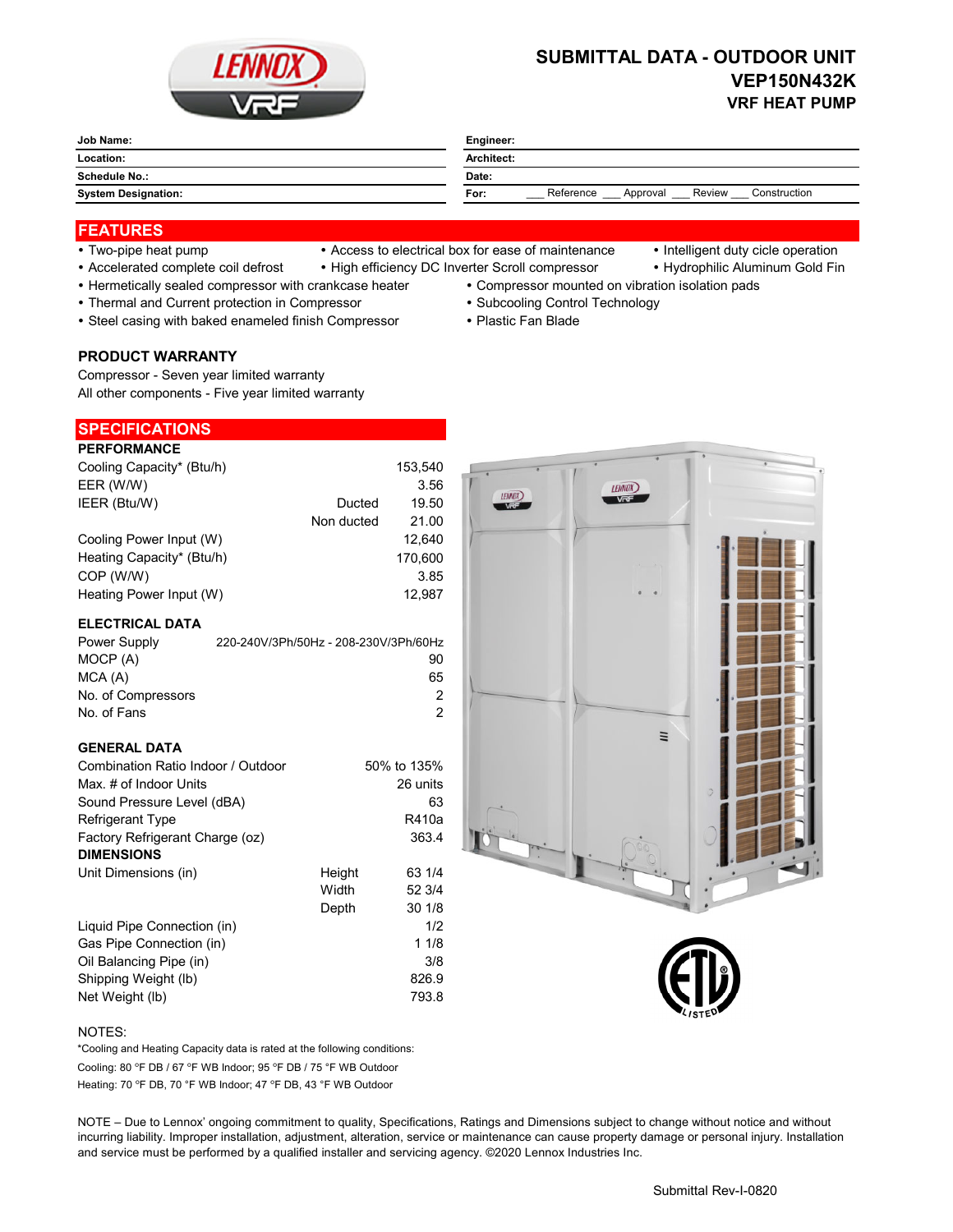

# **SUBMITTAL DATA - OUTDOOR UNIT VEP150N432K VRF HEAT PUMP**

| Job Name:                  | Engineer:                                               |  |  |
|----------------------------|---------------------------------------------------------|--|--|
| Location:                  | Architect:                                              |  |  |
| Schedule No.:              | Date:                                                   |  |  |
| <b>System Designation:</b> | Reference<br>Construction<br>Review<br>For:<br>Approval |  |  |

## **FEATURES**

- 
- Two-pipe heat pump Access to electrical box for ease of maintenance Intelligent duty cicle operation
	-
- Accelerated complete coil defrost High efficiency DC Inverter Scroll compressor Hydrophilic Aluminum Gold Fin
- Hermetically sealed compressor with crankcase heater Compressor mounted on vibration isolation pads
- 
- Thermal and Current protection in Compressor **Subcooling Control Technology · Subcooling Control Technology**
- Steel casing with baked enameled finish Compressor Plastic Fan Blade
- **PRODUCT WARRANTY**

Compressor - Seven year limited warranty All other components - Five year limited warranty

# **SPECIFICATIONS**

| <b>PERFORMANCE</b>        |            |         |
|---------------------------|------------|---------|
| Cooling Capacity* (Btu/h) |            | 153.540 |
| EER (W/W)                 |            | 3.56    |
| IEER (Btu/W)              | Ducted     | 19.50   |
|                           | Non ducted | 21.00   |
| Cooling Power Input (W)   |            | 12.640  |
| Heating Capacity* (Btu/h) |            | 170.600 |
| COP (W/W)                 |            | 3.85    |
| Heating Power Input (W)   |            | 12.987  |

#### **ELECTRICAL DATA**

| Power Supply       | 220-240V/3Ph/50Hz - 208-230V/3Ph/60Hz |
|--------------------|---------------------------------------|
| MOCP (A)           | 90                                    |
| MCA (A)            | 65                                    |
| No. of Compressors | 2                                     |
| No. of Fans        | 2                                     |

#### **GENERAL DATA**

| Combination Ratio Indoor / Outdoor |        | 50% to 135% |
|------------------------------------|--------|-------------|
| Max. # of Indoor Units             |        | 26 units    |
| Sound Pressure Level (dBA)         |        | 63          |
| <b>Refrigerant Type</b>            |        | R410a       |
| Factory Refrigerant Charge (oz)    |        | 363.4       |
| <b>DIMENSIONS</b>                  |        |             |
| Unit Dimensions (in)               | Height | 63 1/4      |
|                                    | Width  | 52 3/4      |
|                                    | Depth  | 30 1/8      |
| Liquid Pipe Connection (in)        |        | 1/2         |
| Gas Pipe Connection (in)           |        | 11/8        |
| Oil Balancing Pipe (in)            |        | 3/8         |
| Shipping Weight (lb)               |        | 826.9       |
| Net Weight (lb)                    |        | 793.8       |



#### NOTES:

Cooling: 80 °F DB / 67 °F WB Indoor; 95 °F DB / 75 °F WB Outdoor Heating: 70 °F DB, 70 °F WB Indoor; 47 °F DB, 43 °F WB Outdoor \*Cooling and Heating Capacity data is rated at the following conditions:

NOTE – Due to Lennox' ongoing commitment to quality, Specifications, Ratings and Dimensions subject to change without notice and without incurring liability. Improper installation, adjustment, alteration, service or maintenance can cause property damage or personal injury. Installation and service must be performed by a qualified installer and servicing agency. ©2020 Lennox Industries Inc.